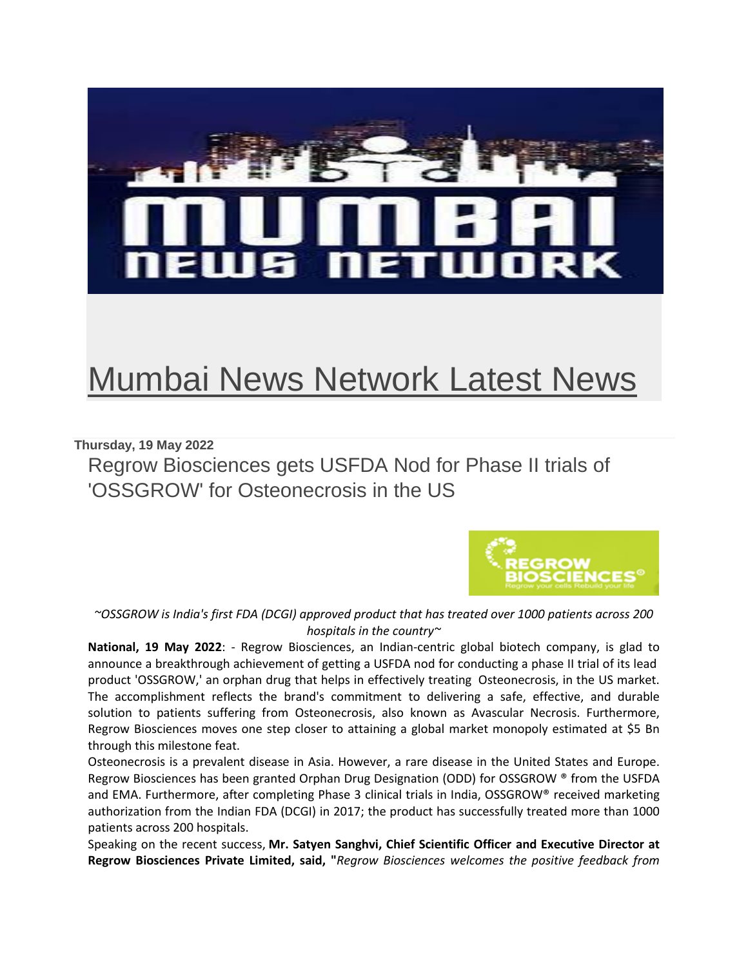

## [Mumbai News Network Latest News](https://mumbainewsnetworks.blogspot.com/)

## **Thursday, 19 May 2022**

Regrow Biosciences gets USFDA Nod for Phase II trials of 'OSSGROW' for Osteonecrosis in the US



*~OSSGROW is India's first FDA (DCGI) approved product that has treated over 1000 patients across 200 hospitals in the country~*

**National, 19 May 2022**: - Regrow Biosciences, an Indian-centric global biotech company, is glad to announce a breakthrough achievement of getting a USFDA nod for conducting a phase II trial of its lead product 'OSSGROW,' an orphan drug that helps in effectively treating Osteonecrosis, in the US market. The accomplishment reflects the brand's commitment to delivering a safe, effective, and durable solution to patients suffering from Osteonecrosis, also known as Avascular Necrosis. Furthermore, Regrow Biosciences moves one step closer to attaining a global market monopoly estimated at \$5 Bn through this milestone feat.

Osteonecrosis is a prevalent disease in Asia. However, a rare disease in the United States and Europe. Regrow Biosciences has been granted Orphan Drug Designation (ODD) for OSSGROW ® from the USFDA and EMA. Furthermore, after completing Phase 3 clinical trials in India, OSSGROW® received marketing authorization from the Indian FDA (DCGI) in 2017; the product has successfully treated more than 1000 patients across 200 hospitals.

Speaking on the recent success, **Mr. Satyen Sanghvi, Chief Scientific Officer and Executive Director at Regrow Biosciences Private Limited, said, "***Regrow Biosciences welcomes the positive feedback from*